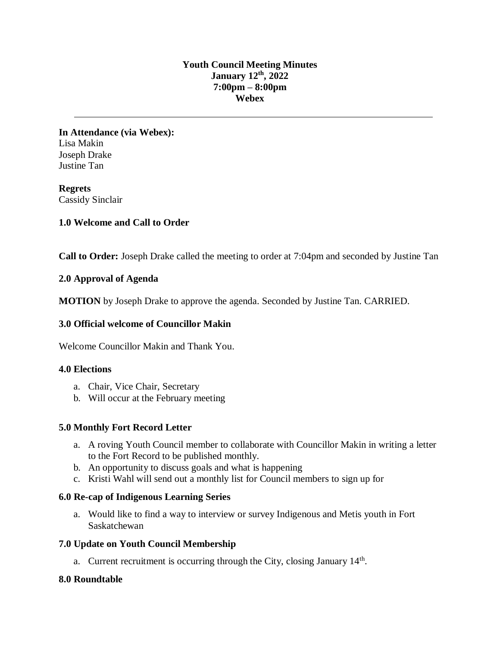#### **Youth Council Meeting Minutes January 12th , 2022 7:00pm – 8:00pm Webex**

**In Attendance (via Webex):** Lisa Makin Joseph Drake Justine Tan

**Regrets** Cassidy Sinclair

## **1.0 Welcome and Call to Order**

**Call to Order:** Joseph Drake called the meeting to order at 7:04pm and seconded by Justine Tan

## **2.0 Approval of Agenda**

**MOTION** by Joseph Drake to approve the agenda. Seconded by Justine Tan. CARRIED.

## **3.0 Official welcome of Councillor Makin**

Welcome Councillor Makin and Thank You.

#### **4.0 Elections**

- a. Chair, Vice Chair, Secretary
- b. Will occur at the February meeting

## **5.0 Monthly Fort Record Letter**

- a. A roving Youth Council member to collaborate with Councillor Makin in writing a letter to the Fort Record to be published monthly.
- b. An opportunity to discuss goals and what is happening
- c. Kristi Wahl will send out a monthly list for Council members to sign up for

## **6.0 Re-cap of Indigenous Learning Series**

a. Would like to find a way to interview or survey Indigenous and Metis youth in Fort Saskatchewan

## **7.0 Update on Youth Council Membership**

a. Current recruitment is occurring through the City, closing January 14<sup>th</sup>.

## **8.0 Roundtable**